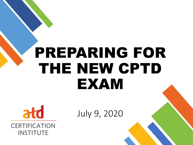# PREPARING FOR THE NEW CPTD EXAM



**CERTIFICATION INSTITUTE** 

July 9, 2020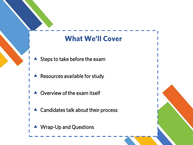### **What We'll Cover**

- $\blacktriangle$  Steps to take before the exam
- Resources available for study
- Overview of the exam itself
- ▲ Candidates talk about their process
- ▲ Wrap-Up and Questions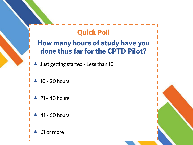### **Quick Poll**

### **How many hours of study have you done thus far for the CPTD Pilot?**

- Just getting started Less than 10
- $\triangle$  10 20 hours
- $\triangle$  21 40 hours
- $\triangle$  41 60 hours
- 61 or more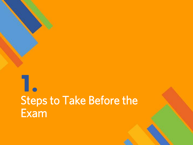# **1.** Steps to Take Before the Exam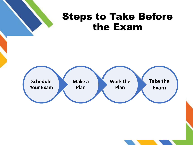

### Steps to Take Before the Exam

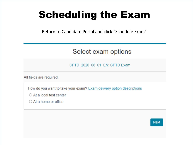### Scheduling the Exam

Return to Candidate Portal and click "Schedule Exam"

#### Select exam options

CPTD 2020 08 01 EN: CPTD Exam

All fields are required.

How do you want to take your exam? Exam delivery option descriptions

 $\bigcirc$  At a local test center

 $\bigcirc$  At a home or office

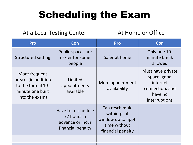### Scheduling the Exam

#### At a Local Testing Center At Home or Office

| Pro                                                                                             | Con                                                                        | <b>Pro</b>                                                                                | Con                                                                                         |
|-------------------------------------------------------------------------------------------------|----------------------------------------------------------------------------|-------------------------------------------------------------------------------------------|---------------------------------------------------------------------------------------------|
| <b>Structured setting</b>                                                                       | Public spaces are<br>riskier for some<br>people                            | Safer at home                                                                             | Only one 10-<br>minute break<br>allowed                                                     |
| More frequent<br>breaks (in addition<br>to the formal 10-<br>minute one built<br>into the exam) | Limited<br>appointments<br>available                                       | More appointment<br>availability                                                          | Must have private<br>space, good<br>internet<br>connection, and<br>have no<br>interruptions |
|                                                                                                 | Have to reschedule<br>72 hours in<br>advance or incur<br>financial penalty | Can reschedule<br>within pilot<br>window up to appt.<br>time without<br>financial penalty |                                                                                             |
|                                                                                                 |                                                                            |                                                                                           |                                                                                             |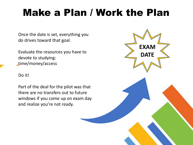### Make a Plan / Work the Plan

Once the date is set, everything you do drives toward that goal.

Evaluate the resources you have to devote to studying: time/money/access

#### Do it!

Part of the deal for the pilot was that there are no transfers out to future windows if you come up on exam day and realize you're not ready.

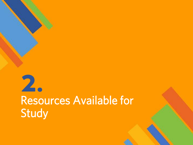## **2.** Resources Available for Study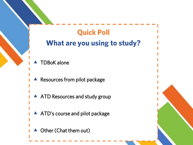### **Quick Poll What are you using to study?**

- TDBoK alone
- **A** Resources from pilot package
- A ATD Resources and study group
- A ATD's course and pilot package
- ▲ Other (Chat them out)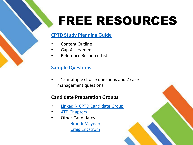## FREE RESOURCES

#### **[CPTD Study Planning Guide](https://d22bbllmj4tvv8.cloudfront.net/8f/a4/e810d3f9435598dcf8105ac5c99e/cptd-study-guide-version-2.0_final%20updated.pdf)**

- Content Outline
- Gap Assessment
- Reference Resource List

#### **[Sample Questions](https://www.td.org/certification/sample-questions)**

15 multiple choice questions and 2 case management questions

#### **Candidate Preparation Groups**

- **LinkedIN [CPTD Candidate Group](https://www.linkedin.com/groups/8896013/)**
- **[ATD Chapters](http://www.td.org/chapter-locator)** 
	- Other Candidates [Brandi Maynard](https://content.td.org/r/75108) [Craig Engstrom](https://content.td.org/r/75109)

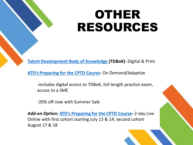## OTHER RESOURCES

**[Talent Development Body of Knowledge \(](http://www.td.org/tdbok)TDBoK)-** Digital & Print

**[ATD's Preparing for the CPTD Course](https://www.td.org/education-courses/cptd-certification-preparation-course)-** On Demand/Adaptive

-includes digital access to TDBoK, full-length practice exam, access to a SME

-20% off now with Summer Sale

**Add-on Option: [ATD's Preparing for the CPTD](https://www.td.org/education-courses/cptd-certification-preparation-workshop) Course-** 2-day Live Online with first cohort starting July 13 & 14; second cohort August 17 & 18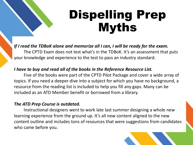## Dispelling Prep Myths

*If I read the TDBoK alone and memorize all I can, I will be ready for the exam.*

The CPTD Exam does not test what's in the TDBoK. It's an assessment that puts your knowledge and experience to the test to pass an industry standard.

#### *I have to buy and read all of the books in the Reference Resource List.*

Five of the books were part of the CPTD Pilot Package and cover a wide array of topics. If you need a deeper dive into a subject for which you have no background, a resource from the reading list is included to help you fill any gaps. Many can be included as an ATD Member benefit or borrowed from a library.

#### *The ATD Prep Course is outdated.*

Instructional designers went to work late last summer designing a whole new learning experience from the ground up. It's all new content aligned to the new content outline and includes tons of resources that were suggestions from candidates who came before you.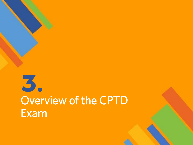# **3.** Overview of the CPTD Exam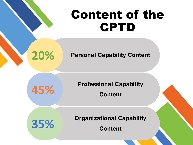## Content of the CPTD

**20% Personal Capability Content**

**Professional Capability 45% Content**

**Organizational Capability 35% Content**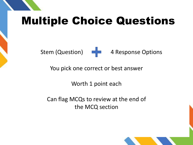## Multiple Choice Questions

Stem (Question)  $\begin{array}{ccc} - & 4 \end{array}$  Response Options

You pick one correct or best answer

Worth 1 point each

Can flag MCQs to review at the end of the MCQ section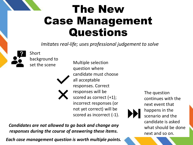### The New Case Management Questions

*Imitates real-life; uses professional judgement to solve*



Short background to

set the scene Multiple selection question where candidate must choose all acceptable responses. Correct responses will be scored as correct (+1); incorrect responses (or not yet correct) will be scored as incorrect (-1).

The question continues with the next event that happens in the scenario and the candidate is asked what should be done next and so on.

*Candidates are not allowed to go back and change any responses during the course of answering these items.*

*Each case management question is worth multiple points.*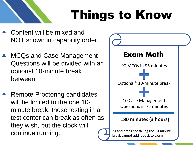

## Things to Know

- Content will be mixed and NOT shown in capability order.
- MCQs and Case Management Questions will be divided with an optional 10-minute break between.
- Remote Proctoring candidates will be limited to the one 10 minute break, those testing in a test center can break as often as they wish, but the clock will continue running.

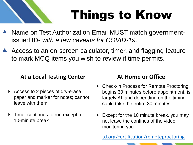

## Things to Know

- Name on Test Authorization Email MUST match governmentissued ID- *with a few caveats for COVID-19.*
- Access to an on-screen calculator, timer, and flagging feature to mark MCQ items you wish to review if time permits.

#### **At a Local Testing Center At Home or Office**

- Access to 2 pieces of dry-erase paper and marker for notes; cannot leave with them.
- ▶ Timer continues to run except for 10-minute break

- begins 30 minutes before appointment, is ▶ Check-in Process for Remote Proctoring largely AI, and depending on the timing could take the entire 30 minutes.
- Except for the 10 minute break, you may not leave the confines of the video monitoring you

[td.org/certification/remoteproctoring](https://www.td.org/certification/remoteproctoring)

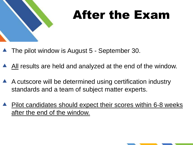

## After the Exam

- The pilot window is August 5 September 30.
- All results are held and analyzed at the end of the window.
- A cutscore will be determined using certification industry standards and a team of subject matter experts.
- Pilot candidates should expect their scores within 6-8 weeks after the end of the window.

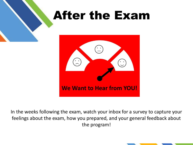

In the weeks following the exam, watch your inbox for a survey to capture your feelings about the exam, how you prepared, and your general feedback about the program!

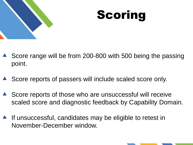



- Score range will be from 200-800 with 500 being the passing point.
- Score reports of passers will include scaled score only.
- ▲ Score reports of those who are unsuccessful will receive scaled score and diagnostic feedback by Capability Domain.
- If unsuccessful, candidates may be eligible to retest in November-December window.

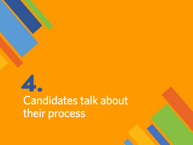## **4.** Candidates talk about their process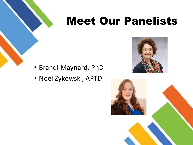## Meet Our Panelists

- Brandi Maynard, PhD
- Noel Zykowski, APTD



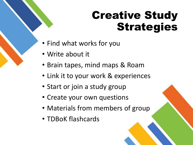## Creative Study Strategies

- Find what works for you
- Write about it
- Brain tapes, mind maps & Roam
- Link it to your work & experiences
- Start or join a study group
- Create your own questions
- Materials from members of group
- TDBoK flashcards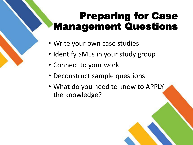### Preparing for Case Management Questions

- Write your own case studies
- Identify SMEs in your study group
- Connect to your work
- Deconstruct sample questions
- What do you need to know to APPLY the knowledge?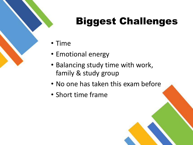## Biggest Challenges

- Time
- Emotional energy
- Balancing study time with work, family & study group
- No one has taken this exam before
- Short time frame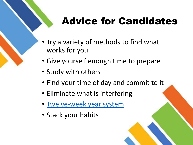### Advice for Candidates

- Try a variety of methods to find what works for you
- Give yourself enough time to prepare
- Study with others
- Find your time of day and commit to it
- Eliminate what is interfering
- [Twelve-week year system](https://www.asianefficiency.com/podcast/138-12-week-year/)
- Stack your habits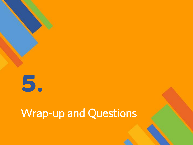

### Wrap-up and Questions